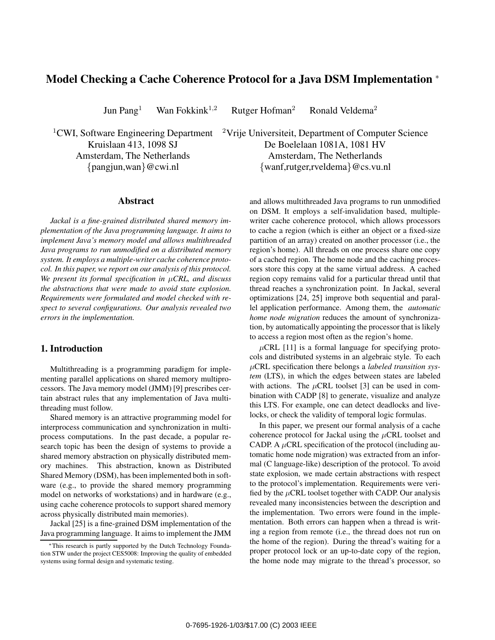# **Model Checking a Cache Coherence Protocol for a Java DSM Implementation** <sup>∗</sup>

Jun Pang<sup>1</sup> Wan Fokkink<sup>1,2</sup> Rutger Hofman<sup>2</sup> Ronald Veldema<sup>2</sup>

#### **Abstract**

*Jackal is a fine-grained distributed shared memory implementation of the Java programming language. It aims to implement Java's memory model and allows multithreaded Java programs to run unmodified on a distributed memory system. It employs a multiple-writer cache coherence protocol. In this paper, we report on our analysis of this protocol. We present its formal specification in* µ*CRL, and discuss the abstractions that were made to avoid state explosion. Requirements were formulated and model checked with respect to several configurations. Our analysis revealed two errors in the implementation.*

# **1. Introduction**

Multithreading is a programming paradigm for implementing parallel applications on shared memory multiprocessors. The Java memory model (JMM) [9] prescribes certain abstract rules that any implementation of Java multithreading must follow.

Shared memory is an attractive programming model for interprocess communication and synchronization in multiprocess computations. In the past decade, a popular research topic has been the design of systems to provide a shared memory abstraction on physically distributed memory machines. This abstraction, known as Distributed Shared Memory (DSM), has been implemented both in software (e.g., to provide the shared memory programming model on networks of workstations) and in hardware (e.g., using cache coherence protocols to support shared memory across physically distributed main memories).

Jackal [25] is a fine-grained DSM implementation of the Java programming language. It aims to implement the JMM

<sup>1</sup>CWI, Software Engineering Department <sup>2</sup>Vrije Universiteit, Department of Computer Science Kruislaan 413, 1098 SJ De Boelelaan 1081A, 1081 HV Amsterdam, The Netherlands Amsterdam, The Netherlands {pangjun,wan}@cwi.nl {wanf,rutger,rveldema}@cs.vu.nl

> and allows multithreaded Java programs to run unmodified on DSM. It employs a self-invalidation based, multiplewriter cache coherence protocol, which allows processors to cache a region (which is either an object or a fixed-size partition of an array) created on another processor (i.e., the region's home). All threads on one process share one copy of a cached region. The home node and the caching processors store this copy at the same virtual address. A cached region copy remains valid for a particular thread until that thread reaches a synchronization point. In Jackal, several optimizations [24, 25] improve both sequential and parallel application performance. Among them, the *automatic home node migration* reduces the amount of synchronization, by automatically appointing the processor that is likely to access a region most often as the region's home.

> $\mu$ CRL [11] is a formal language for specifying protocols and distributed systems in an algebraic style. To each µCRL specification there belongs a *labeled transition system* (LTS), in which the edges between states are labeled with actions. The  $\mu$ CRL toolset [3] can be used in combination with CADP [8] to generate, visualize and analyze this LTS. For example, one can detect deadlocks and livelocks, or check the validity of temporal logic formulas.

> In this paper, we present our formal analysis of a cache coherence protocol for Jackal using the  $\mu$ CRL toolset and CADP. A  $\mu$ CRL specification of the protocol (including automatic home node migration) was extracted from an informal (C language-like) description of the protocol. To avoid state explosion, we made certain abstractions with respect to the protocol's implementation. Requirements were verified by the  $\mu$ CRL toolset together with CADP. Our analysis revealed many inconsistencies between the description and the implementation. Two errors were found in the implementation. Both errors can happen when a thread is writing a region from remote (i.e., the thread does not run on the home of the region). During the thread's waiting for a proper protocol lock or an up-to-date copy of the region, the home node may migrate to the thread's processor, so

<sup>∗</sup>This research is partly supported by the Dutch Technology Foundation STW under the project CES5008: Improving the quality of embedded systems using formal design and systematic testing.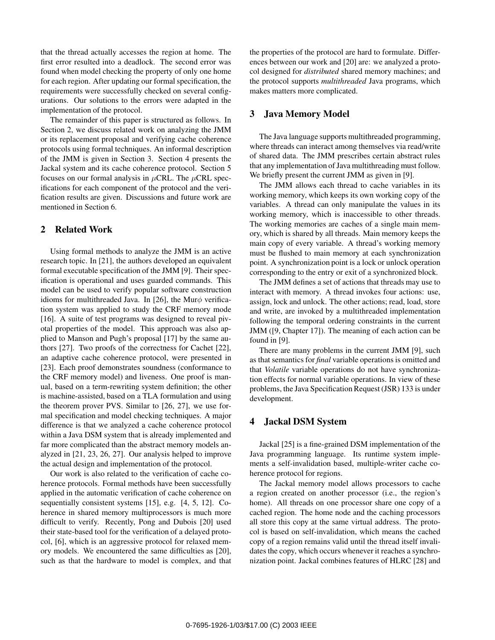that the thread actually accesses the region at home. The first error resulted into a deadlock. The second error was found when model checking the property of only one home for each region. After updating our formal specification, the requirements were successfully checked on several configurations. Our solutions to the errors were adapted in the implementation of the protocol.

The remainder of this paper is structured as follows. In Section 2, we discuss related work on analyzing the JMM or its replacement proposal and verifying cache coherence protocols using formal techniques. An informal description of the JMM is given in Section 3. Section 4 presents the Jackal system and its cache coherence protocol. Section 5 focuses on our formal analysis in  $\mu$ CRL. The  $\mu$ CRL specifications for each component of the protocol and the verification results are given. Discussions and future work are mentioned in Section 6.

## **2 Related Work**

Using formal methods to analyze the JMM is an active research topic. In [21], the authors developed an equivalent formal executable specification of the JMM [9]. Their specification is operational and uses guarded commands. This model can be used to verify popular software construction idioms for multithreaded Java. In [26], the Mur $\phi$  verification system was applied to study the CRF memory mode [16]. A suite of test programs was designed to reveal pivotal properties of the model. This approach was also applied to Manson and Pugh's proposal [17] by the same authors [27]. Two proofs of the correctness for Cachet [22], an adaptive cache coherence protocol, were presented in [23]. Each proof demonstrates soundness (conformance to the CRF memory model) and liveness. One proof is manual, based on a term-rewriting system definition; the other is machine-assisted, based on a TLA formulation and using the theorem prover PVS. Similar to [26, 27], we use formal specification and model checking techniques. A major difference is that we analyzed a cache coherence protocol within a Java DSM system that is already implemented and far more complicated than the abstract memory models analyzed in [21, 23, 26, 27]. Our analysis helped to improve the actual design and implementation of the protocol.

Our work is also related to the verification of cache coherence protocols. Formal methods have been successfully applied in the automatic verification of cache coherence on sequentially consistent systems [15], e.g. [4, 5, 12]. Coherence in shared memory multiprocessors is much more difficult to verify. Recently, Pong and Dubois [20] used their state-based tool for the verification of a delayed protocol, [6], which is an aggressive protocol for relaxed memory models. We encountered the same difficulties as [20], such as that the hardware to model is complex, and that

the properties of the protocol are hard to formulate. Differences between our work and [20] are: we analyzed a protocol designed for *distributed* shared memory machines; and the protocol supports *multithreaded* Java programs, which makes matters more complicated.

## **3 Java Memory Model**

The Java language supports multithreaded programming, where threads can interact among themselves via read/write of shared data. The JMM prescribes certain abstract rules that any implementation of Java multithreading must follow. We briefly present the current JMM as given in [9].

The JMM allows each thread to cache variables in its working memory, which keeps its own working copy of the variables. A thread can only manipulate the values in its working memory, which is inaccessible to other threads. The working memories are caches of a single main memory, which is shared by all threads. Main memory keeps the main copy of every variable. A thread's working memory must be flushed to main memory at each synchronization point. A synchronization point is a lock or unlock operation corresponding to the entry or exit of a synchronized block.

The JMM defines a set of actions that threads may use to interact with memory. A thread invokes four actions: use, assign, lock and unlock. The other actions; read, load, store and write, are invoked by a multithreaded implementation following the temporal ordering constraints in the current JMM ([9, Chapter 17]). The meaning of each action can be found in [9].

There are many problems in the current JMM [9], such as that semantics for *final* variable operations is omitted and that *Volatile* variable operations do not have synchronization effects for normal variable operations. In view of these problems, the Java Specification Request (JSR) 133 is under development.

## **4 Jackal DSM System**

Jackal [25] is a fine-grained DSM implementation of the Java programming language. Its runtime system implements a self-invalidation based, multiple-writer cache coherence protocol for regions.

The Jackal memory model allows processors to cache a region created on another processor (i.e., the region's home). All threads on one processor share one copy of a cached region. The home node and the caching processors all store this copy at the same virtual address. The protocol is based on self-invalidation, which means the cached copy of a region remains valid until the thread itself invalidates the copy, which occurs whenever it reaches a synchronization point. Jackal combines features of HLRC [28] and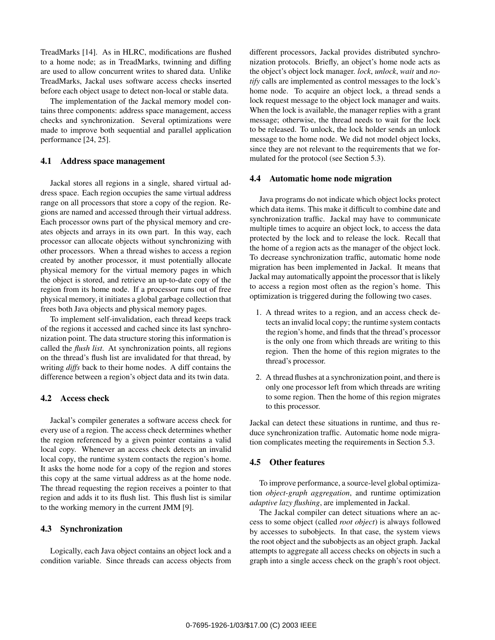TreadMarks [14]. As in HLRC, modifications are flushed to a home node; as in TreadMarks, twinning and diffing are used to allow concurrent writes to shared data. Unlike TreadMarks, Jackal uses software access checks inserted before each object usage to detect non-local or stable data.

The implementation of the Jackal memory model contains three components: address space management, access checks and synchronization. Several optimizations were made to improve both sequential and parallel application performance [24, 25].

#### **4.1 Address space management**

Jackal stores all regions in a single, shared virtual address space. Each region occupies the same virtual address range on all processors that store a copy of the region. Regions are named and accessed through their virtual address. Each processor owns part of the physical memory and creates objects and arrays in its own part. In this way, each processor can allocate objects without synchronizing with other processors. When a thread wishes to access a region created by another processor, it must potentially allocate physical memory for the virtual memory pages in which the object is stored, and retrieve an up-to-date copy of the region from its home node. If a processor runs out of free physical memory, it initiates a global garbage collection that frees both Java objects and physical memory pages.

To implement self-invalidation, each thread keeps track of the regions it accessed and cached since its last synchronization point. The data structure storing this information is called the *flush list*. At synchronization points, all regions on the thread's flush list are invalidated for that thread, by writing *diffs* back to their home nodes. A diff contains the difference between a region's object data and its twin data.

## **4.2 Access check**

Jackal's compiler generates a software access check for every use of a region. The access check determines whether the region referenced by a given pointer contains a valid local copy. Whenever an access check detects an invalid local copy, the runtime system contacts the region's home. It asks the home node for a copy of the region and stores this copy at the same virtual address as at the home node. The thread requesting the region receives a pointer to that region and adds it to its flush list. This flush list is similar to the working memory in the current JMM [9].

## **4.3 Synchronization**

Logically, each Java object contains an object lock and a condition variable. Since threads can access objects from different processors, Jackal provides distributed synchronization protocols. Briefly, an object's home node acts as the object's object lock manager. *lock*, *unlock*, *wait* and *notify* calls are implemented as control messages to the lock's home node. To acquire an object lock, a thread sends a lock request message to the object lock manager and waits. When the lock is available, the manager replies with a grant message; otherwise, the thread needs to wait for the lock to be released. To unlock, the lock holder sends an unlock message to the home node. We did not model object locks, since they are not relevant to the requirements that we formulated for the protocol (see Section 5.3).

#### **4.4 Automatic home node migration**

Java programs do not indicate which object locks protect which data items. This make it difficult to combine date and synchronization traffic. Jackal may have to communicate multiple times to acquire an object lock, to access the data protected by the lock and to release the lock. Recall that the home of a region acts as the manager of the object lock. To decrease synchronization traffic, automatic home node migration has been implemented in Jackal. It means that Jackal may automatically appoint the processor that is likely to access a region most often as the region's home. This optimization is triggered during the following two cases.

- 1. A thread writes to a region, and an access check detects an invalid local copy; the runtime system contacts the region's home, and finds that the thread's processor is the only one from which threads are writing to this region. Then the home of this region migrates to the thread's processor.
- 2. A thread flushes at a synchronization point, and there is only one processor left from which threads are writing to some region. Then the home of this region migrates to this processor.

Jackal can detect these situations in runtime, and thus reduce synchronization traffic. Automatic home node migration complicates meeting the requirements in Section 5.3.

## **4.5 Other features**

To improve performance, a source-level global optimization *object-graph aggregation*, and runtime optimization *adaptive lazy flushing*, are implemented in Jackal.

The Jackal compiler can detect situations where an access to some object (called *root object*) is always followed by accesses to subobjects. In that case, the system views the root object and the subobjects as an object graph. Jackal attempts to aggregate all access checks on objects in such a graph into a single access check on the graph's root object.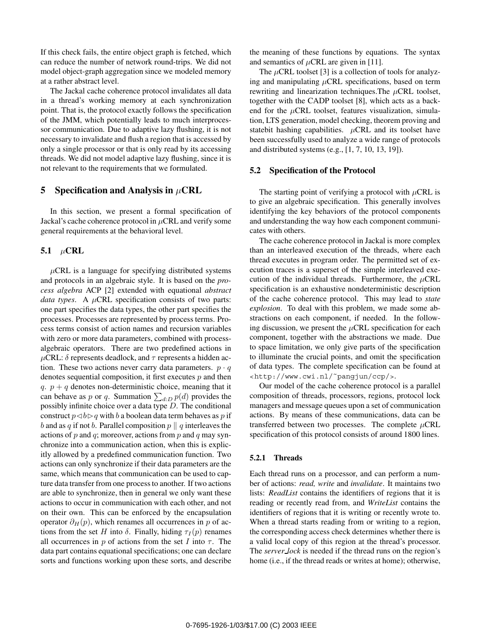If this check fails, the entire object graph is fetched, which can reduce the number of network round-trips. We did not model object-graph aggregation since we modeled memory at a rather abstract level.

The Jackal cache coherence protocol invalidates all data in a thread's working memory at each synchronization point. That is, the protocol exactly follows the specification of the JMM, which potentially leads to much interprocessor communication. Due to adaptive lazy flushing, it is not necessary to invalidate and flush a region that is accessed by only a single processor or that is only read by its accessing threads. We did not model adaptive lazy flushing, since it is not relevant to the requirements that we formulated.

## **5** Specification and Analysis in  $\mu$ CRL

In this section, we present a formal specification of Jackal's cache coherence protocol in  $\mu$ CRL and verify some general requirements at the behavioral level.

## 5.1  $\mu$ **CRL**

 $\mu$ CRL is a language for specifying distributed systems and protocols in an algebraic style. It is based on the *process algebra* ACP [2] extended with equational *abstract data types.* A  $\mu$ CRL specification consists of two parts: one part specifies the data types, the other part specifies the processes. Processes are represented by process terms. Process terms consist of action names and recursion variables with zero or more data parameters, combined with processalgebraic operators. There are two predefined actions in  $\mu$ CRL:  $\delta$  represents deadlock, and  $\tau$  represents a hidden action. These two actions never carry data parameters.  $p \cdot q$ denotes sequential composition, it first executes  $p$  and then  $q. p + q$  denotes non-deterministic choice, meaning that it can behave as p or q. Summation  $\sum_{d:D} p(d)$  provides the possibly infinite choice over a data type D. The conditional construct  $p \triangleleft b \triangleright q$  with b a boolean data term behaves as p if b and as q if not b. Parallel composition  $p \parallel q$  interleaves the actions of p and q; moreover, actions from p and q may synchronize into a communication action, when this is explicitly allowed by a predefined communication function. Two actions can only synchronize if their data parameters are the same, which means that communication can be used to capture data transfer from one process to another. If two actions are able to synchronize, then in general we only want these actions to occur in communication with each other, and not on their own. This can be enforced by the encapsulation operator  $\partial_H(p)$ , which renames all occurrences in p of actions from the set H into  $\delta$ . Finally, hiding  $\tau_I(p)$  renames all occurrences in p of actions from the set I into  $\tau$ . The data part contains equational specifications; one can declare sorts and functions working upon these sorts, and describe

the meaning of these functions by equations. The syntax and semantics of  $\mu$ CRL are given in [11].

The  $\mu$ CRL toolset [3] is a collection of tools for analyzing and manipulating  $\mu$ CRL specifications, based on term rewriting and linearization techniques. The  $\mu$ CRL toolset, together with the CADP toolset [8], which acts as a backend for the  $\mu$ CRL toolset, features visualization, simulation, LTS generation, model checking, theorem proving and statebit hashing capabilities.  $\mu$ CRL and its toolset have been successfully used to analyze a wide range of protocols and distributed systems (e.g., [1, 7, 10, 13, 19]).

#### **5.2 Specification of the Protocol**

The starting point of verifying a protocol with  $\mu$ CRL is to give an algebraic specification. This generally involves identifying the key behaviors of the protocol components and understanding the way how each component communicates with others.

The cache coherence protocol in Jackal is more complex than an interleaved execution of the threads, where each thread executes in program order. The permitted set of execution traces is a superset of the simple interleaved execution of the individual threads. Furthermore, the  $\mu$ CRL specification is an exhaustive nondeterministic description of the cache coherence protocol. This may lead to *state explosion*. To deal with this problem, we made some abstractions on each component, if needed. In the following discussion, we present the  $\mu$ CRL specification for each component, together with the abstractions we made. Due to space limitation, we only give parts of the specification to illuminate the crucial points, and omit the specification of data types. The complete specification can be found at <http://www.cwi.nl/˜pangjun/ccp/>.

Our model of the cache coherence protocol is a parallel composition of threads, processors, regions, protocol lock managers and message queues upon a set of communication actions. By means of these communications, data can be transferred between two processes. The complete  $\mu$ CRL specification of this protocol consists of around 1800 lines.

#### **5.2.1 Threads**

Each thread runs on a processor, and can perform a number of actions: *read, write* and *invalidate*. It maintains two lists: *ReadList* contains the identifiers of regions that it is reading or recently read from, and *WriteList* contains the identifiers of regions that it is writing or recently wrote to. When a thread starts reading from or writing to a region, the corresponding access check determines whether there is a valid local copy of this region at the thread's processor. The *server lock* is needed if the thread runs on the region's home (i.e., if the thread reads or writes at home); otherwise,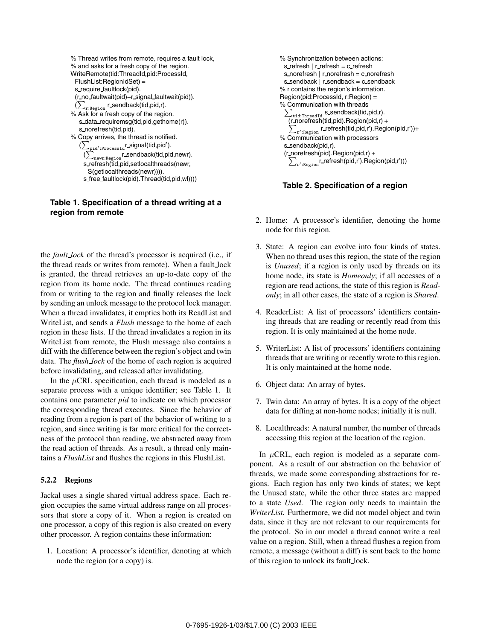```
% Thread writes from remote, requires a fault lock,
% and asks for a fresh copy of the region.
WriteRemote(tid:ThreadId,pid:ProcessId,
 FlushList:RegionIdSet) =
 s require faultlock(pid).
 (r no faultwait(pid)+r signal faultwait(pid)).
  (\sum_{\rm r:Region} r_sendback(tid,pid,r).
% Ask for a fresh copy of the region.
   s_data_requiremsg(tid,pid,gethome(r)).
   s norefresh(tid,pid).
% Copy arrives, the thread is notified.
   (\sum_{\text{pid'}:\text{ProcessId}}r_signal(tid,pid^{\prime}).(\sum_{\text{newr:Region}} r\_sendback(tid,pid,newr).s refresh(tid,pid,setlocalthreads(newr,
      S(getlocalthreads(newr)))).
     s free faultlock(pid).Thread(tid,pid,wl))))
```
## **Table 1. Specification of a thread writing at a region from remote**

the *fault lock* of the thread's processor is acquired (i.e., if the thread reads or writes from remote). When a fault lock is granted, the thread retrieves an up-to-date copy of the region from its home node. The thread continues reading from or writing to the region and finally releases the lock by sending an unlock message to the protocol lock manager. When a thread invalidates, it empties both its ReadList and WriteList, and sends a *Flush* message to the home of each region in these lists. If the thread invalidates a region in its WriteList from remote, the Flush message also contains a diff with the difference between the region's object and twin data. The *flush lock* of the home of each region is acquired before invalidating, and released after invalidating.

In the  $\mu$ CRL specification, each thread is modeled as a separate process with a unique identifier; see Table 1. It contains one parameter *pid* to indicate on which processor the corresponding thread executes. Since the behavior of reading from a region is part of the behavior of writing to a region, and since writing is far more critical for the correctness of the protocol than reading, we abstracted away from the read action of threads. As a result, a thread only maintains a *FlushList* and flushes the regions in this FlushList.

## **5.2.2 Regions**

Jackal uses a single shared virtual address space. Each region occupies the same virtual address range on all processors that store a copy of it. When a region is created on one processor, a copy of this region is also created on every other processor. A region contains these information:

1. Location: A processor's identifier, denoting at which node the region (or a copy) is.

```
% Synchronization between actions:
 s refresh \vert r refresh = c refresh
  s_norefresh | r_norefresh = c_norefresh
 s sendback | r sendback = c sendback
% r contains the region's information.
Region(pid:ProcessId, r:Region) =
% Communication with threads
  \sum_{\texttt{tid:ThreadId}} \texttt{s\_sendback}(\texttt{tid}, \texttt{pid}, \texttt{r}). \ \texttt{(r\_more} \texttt{fresh}(\texttt{tid}, \texttt{pid}). \ \texttt{Region}(\texttt{pid}, \texttt{r}) + \ \cdot\sum_{\rm r':Region} r_refresh(tid,pid,r').Region(pid,r'))+
% Communication with processors
  s_sendback(pid,r).
  (r
norefresh(pid).Region(pid,r) +
    \sum_{\rm r':Region}r refresh(pid,r').Region(pid,r')))
```
# **Table 2. Specification of a region**

- 2. Home: A processor's identifier, denoting the home node for this region.
- 3. State: A region can evolve into four kinds of states. When no thread uses this region, the state of the region is *Unused*; if a region is only used by threads on its home node, its state is *Homeonly*; if all accesses of a region are read actions, the state of this region is *Readonly*; in all other cases, the state of a region is *Shared*.
- 4. ReaderList: A list of processors' identifiers containing threads that are reading or recently read from this region. It is only maintained at the home node.
- 5. WriterList: A list of processors' identifiers containing threads that are writing or recently wrote to this region. It is only maintained at the home node.
- 6. Object data: An array of bytes.
- 7. Twin data: An array of bytes. It is a copy of the object data for diffing at non-home nodes; initially it is null.
- 8. Localthreads: A natural number, the number of threads accessing this region at the location of the region.

In  $\mu$ CRL, each region is modeled as a separate component. As a result of our abstraction on the behavior of threads, we made some corresponding abstractions for regions. Each region has only two kinds of states; we kept the Unused state, while the other three states are mapped to a state *Used*. The region only needs to maintain the *WriterList*. Furthermore, we did not model object and twin data, since it they are not relevant to our requirements for the protocol. So in our model a thread cannot write a real value on a region. Still, when a thread flushes a region from remote, a message (without a diff) is sent back to the home of this region to unlock its fault lock.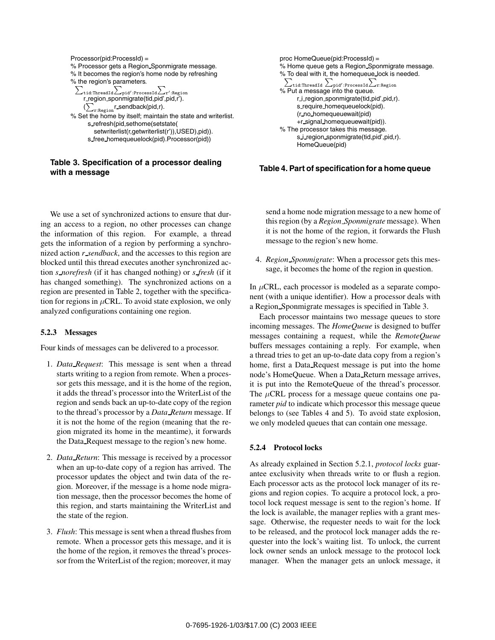```
Processor(pid:ProcessId) =
% Processor gets a Region Sponmigrate message.
% It becomes the region's home node by refreshing
% the region's parameters.
  \sum_{\texttt{tid}: \texttt{ThreadId}}\sum_{\texttt{pid}': \texttt{ProcessId}}\sum_{\texttt{r}': \texttt{Region}}r region sponmigrate(tid,pid',pid,r').
     (\sum_{r:Region} r\_sendback(pid,r)).% Set the home by itself; maintain the state and writerlist.
       s refresh(pid,sethome(setstate(
         setwriterlist(r,getwriterlist(r')),USED),pid)).
       s free homequeuelock(pid).Processor(pid))
```
# **Table 3. Specification of a processor dealing with a message**

```
proc HomeQueue(pid:ProcessId) =
% Home queue gets a Region Sponmigrate message.
% To deal with it, the homequeue
lock is needed.
  \sum_{\texttt{tid}: \texttt{ThreadId}}\sum_{\texttt{pid'}: \texttt{ProcessId}}\sum_{\texttt{r:Region}}% Put a message into the queue.
      r i region sponmigrate(tid,pid',pid,r).
      s require homequeuelock(pid).
      (r no homequeuewait(pid)
      +r signal homequeuewait(pid)).
% The processor takes this message.
      s_i_region_sponmigrate(tid,pid',pid,r).
```
HomeQueue(pid)

#### **Table 4. Part of specification for a home queue**

We use a set of synchronized actions to ensure that during an access to a region, no other processes can change the information of this region. For example, a thread gets the information of a region by performing a synchronized action *r sendback*, and the accesses to this region are blocked until this thread executes another synchronized action *s norefresh* (if it has changed nothing) or *s fresh* (if it has changed something). The synchronized actions on a region are presented in Table 2, together with the specification for regions in  $\mu$ CRL. To avoid state explosion, we only analyzed configurations containing one region.

## **5.2.3 Messages**

Four kinds of messages can be delivered to a processor.

- 1. *Data Request*: This message is sent when a thread starts writing to a region from remote. When a processor gets this message, and it is the home of the region, it adds the thread's processor into the WriterList of the region and sends back an up-to-date copy of the region to the thread's processor by a *Data Return* message. If it is not the home of the region (meaning that the region migrated its home in the meantime), it forwards the Data Request message to the region's new home.
- 2. *Data Return*: This message is received by a processor when an up-to-date copy of a region has arrived. The processor updates the object and twin data of the region. Moreover, if the message is a home node migration message, then the processor becomes the home of this region, and starts maintaining the WriterList and the state of the region.
- 3. *Flush*: This message is sent when a thread flushes from remote. When a processor gets this message, and it is the home of the region, it removes the thread's processor from the WriterList of the region; moreover, it may

send a home node migration message to a new home of this region (by a *Region Sponmigrate* message). When it is not the home of the region, it forwards the Flush message to the region's new home.

4. *Region Sponmigrate*: When a processor gets this message, it becomes the home of the region in question.

In  $\mu$ CRL, each processor is modeled as a separate component (with a unique identifier). How a processor deals with a Region Sponmigrate messages is specified in Table 3.

Each processor maintains two message queues to store incoming messages. The *HomeQueue* is designed to buffer messages containing a request, while the *RemoteQueue* buffers messages containing a reply. For example, when a thread tries to get an up-to-date data copy from a region's home, first a Data Request message is put into the home node's HomeQueue. When a Data Return message arrives, it is put into the RemoteQueue of the thread's processor. The  $\mu$ CRL process for a message queue contains one parameter *pid* to indicate which processor this message queue belongs to (see Tables 4 and 5). To avoid state explosion, we only modeled queues that can contain one message.

#### **5.2.4 Protocol locks**

As already explained in Section 5.2.1, *protocol locks* guarantee exclusivity when threads write to or flush a region. Each processor acts as the protocol lock manager of its regions and region copies. To acquire a protocol lock, a protocol lock request message is sent to the region's home. If the lock is available, the manager replies with a grant message. Otherwise, the requester needs to wait for the lock to be released, and the protocol lock manager adds the requester into the lock's waiting list. To unlock, the current lock owner sends an unlock message to the protocol lock manager. When the manager gets an unlock message, it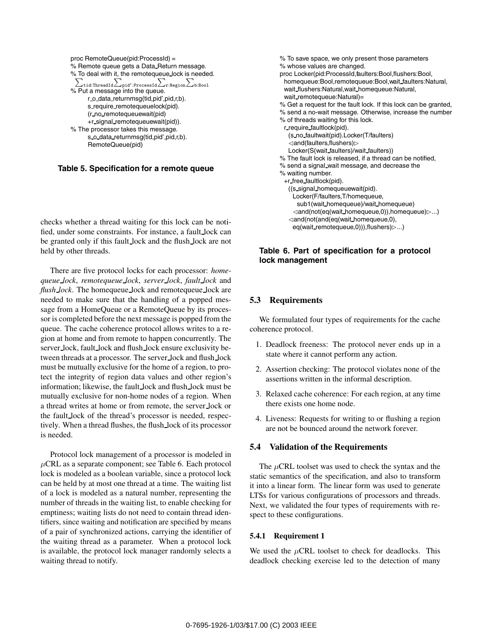proc RemoteQueue(pid:ProcessId) = % Remote queue gets a Data Return message. % To deal with it, the remotequeue lock is needed.  $\sum_{\texttt{tid:ThreadId}}\sum_{\texttt{pid':ProcessId}}\sum_{\texttt{r:Region}}\sum_{\texttt{b:Bool}}$ % Put a message into the queue. r\_o\_data\_returnmsg(tid,pid',pid,r,b). s\_require\_remotequeuelock(pid). (r no remotequeuewait(pid) +r signal remotequeuewait(pid)). % The processor takes this message. s o data returnmsg(tid,pid',pid,r,b). RemoteQueue(pid)

**Table 5. Specification for a remote queue**

checks whether a thread waiting for this lock can be notified, under some constraints. For instance, a fault lock can be granted only if this fault lock and the flush lock are not held by other threads.

There are five protocol locks for each processor: *homequeue lock*, *remotequeue lock*, *server lock*, *fault lock* and *flush lock*. The homequeue lock and remotequeue lock are needed to make sure that the handling of a popped message from a HomeQueue or a RemoteQueue by its processor is completed before the next message is popped from the queue. The cache coherence protocol allows writes to a region at home and from remote to happen concurrently. The server lock, fault lock and flush lock ensure exclusivity between threads at a processor. The server lock and flush lock must be mutually exclusive for the home of a region, to protect the integrity of region data values and other region's information; likewise, the fault lock and flush lock must be mutually exclusive for non-home nodes of a region. When a thread writes at home or from remote, the server lock or the fault lock of the thread's processor is needed, respectively. When a thread flushes, the flush lock of its processor is needed.

Protocol lock management of a processor is modeled in  $\mu$ CRL as a separate component; see Table 6. Each protocol lock is modeled as a boolean variable, since a protocol lock can be held by at most one thread at a time. The waiting list of a lock is modeled as a natural number, representing the number of threads in the waiting list, to enable checking for emptiness; waiting lists do not need to contain thread identifiers, since waiting and notification are specified by means of a pair of synchronized actions, carrying the identifier of the waiting thread as a parameter. When a protocol lock is available, the protocol lock manager randomly selects a waiting thread to notify.

```
% To save space, we only present those parameters
% whose values are changed.
proc Locker(pid:ProcessId,faulters:Bool,flushers:Bool,
 homequeue:Bool,remotequeue:Bool,wait faulters:Natural,
 wait flushers:Natural,wait homequeue:Natural,
 wait_remotequeue:Natural)=
% Get a request for the fault lock. If this lock can be granted,
% send a no-wait message. Otherwise, increase the number
% of threads waiting for this lock.
 r require faultlock(pid).
   (s no faultwait(pid).Locker(T/faulters)
   ✁and(faulters,flushers)✄
   Locker(S(wait faulters)/wait faulters))
% The fault lock is released, if a thread can be notified,
% send a signal wait message, and decrease the
% waiting number.
 +r free faultlock(pid).
   ((s signal homequeuewait(pid).
    Locker(F/faulters,T/homequeue,
      sub1(wait homequeue)/wait homequeue)
     \triangleleftand(not(eq(wait_homequeue,0)),homequeue)\triangleright...)
   ✁and(not(and(eq(wait homequeue,0),
    eq(wait_remotequeue,0))),flushers)\triangleright...)
```
## **Table 6. Part of specification for a protocol** lock management

## **5.3 Requirements**

We formulated four types of requirements for the cache coherence protocol.

- 1. Deadlock freeness: The protocol never ends up in a state where it cannot perform any action.
- 2. Assertion checking: The protocol violates none of the assertions written in the informal description.
- 3. Relaxed cache coherence: For each region, at any time there exists one home node.
- 4. Liveness: Requests for writing to or flushing a region are not be bounced around the network forever.

#### **5.4 Validation of the Requirements**

The  $\mu$ CRL toolset was used to check the syntax and the static semantics of the specification, and also to transform it into a linear form. The linear form was used to generate LTSs for various configurations of processors and threads. Next, we validated the four types of requirements with respect to these configurations.

#### **5.4.1 Requirement 1**

We used the  $\mu$ CRL toolset to check for deadlocks. This deadlock checking exercise led to the detection of many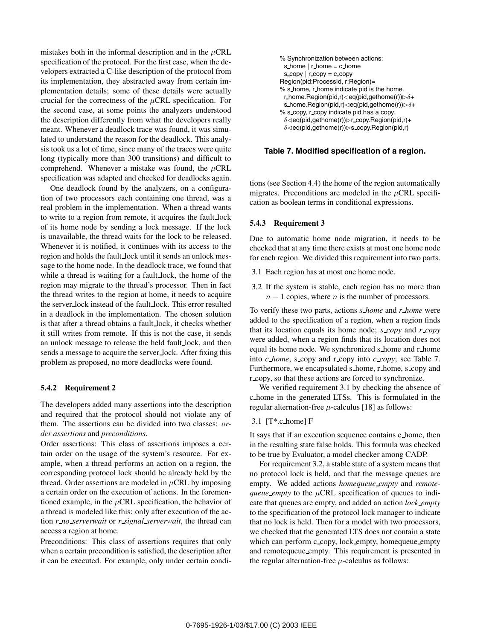mistakes both in the informal description and in the  $\mu$ CRL specification of the protocol. For the first case, when the developers extracted a C-like description of the protocol from its implementation, they abstracted away from certain implementation details; some of these details were actually crucial for the correctness of the  $\mu$ CRL specification. For the second case, at some points the analyzers understood the description differently from what the developers really meant. Whenever a deadlock trace was found, it was simulated to understand the reason for the deadlock. This analysis took us a lot of time, since many of the traces were quite long (typically more than 300 transitions) and difficult to comprehend. Whenever a mistake was found, the  $\mu$ CRL specification was adapted and checked for deadlocks again.

One deadlock found by the analyzers, on a configuration of two processors each containing one thread, was a real problem in the implementation. When a thread wants to write to a region from remote, it acquires the fault lock of its home node by sending a lock message. If the lock is unavailable, the thread waits for the lock to be released. Whenever it is notified, it continues with its access to the region and holds the fault lock until it sends an unlock message to the home node. In the deadlock trace, we found that while a thread is waiting for a fault lock, the home of the region may migrate to the thread's processor. Then in fact the thread writes to the region at home, it needs to acquire the server lock instead of the fault lock. This error resulted in a deadlock in the implementation. The chosen solution is that after a thread obtains a fault lock, it checks whether it still writes from remote. If this is not the case, it sends an unlock message to release the held fault lock, and then sends a message to acquire the server lock. After fixing this problem as proposed, no more deadlocks were found.

#### **5.4.2 Requirement 2**

The developers added many assertions into the description and required that the protocol should not violate any of them. The assertions can be divided into two classes: *order assertions* and *preconditions*.

Order assertions: This class of assertions imposes a certain order on the usage of the system's resource. For example, when a thread performs an action on a region, the corresponding protocol lock should be already held by the thread. Order assertions are modeled in  $\mu$ CRL by imposing a certain order on the execution of actions. In the forementioned example, in the  $\mu$ CRL specification, the behavior of a thread is modeled like this: only after execution of the action *r no serverwait* or *r signal serverwait*, the thread can access a region at home.

Preconditions: This class of assertions requires that only when a certain precondition is satisfied, the description after it can be executed. For example, only under certain condi-

```
% Synchronization between actions:
 s home | r home = c home
  s copy \vert r copy = c copy
Region(pid:ProcessId, r:Region)=
% s home, r home indicate pid is the home.
  r_home.Region(pid,r)<leq(pid,gethome(r)) \triangleright δ+
  s_home.Region(pid,r)\trianglelefteq(pid,gethome(r))\triangleright\delta+
% s copy, r copy indicate pid has a copy.
  \delta \triangleleft \text{eq(pid}, \text{gethome}(r)) \triangleright r \text{-} \text{copy}. \text{Region}(pid,r) +\delta \triangleleft \text{eq}(\text{pid},\text{gethome}(r)) \triangleright \text{s} copy. Region(pid,r)
```
#### **Table 7. Modified specification of a region.**

tions (see Section 4.4) the home of the region automatically migrates. Preconditions are modeled in the  $\mu$ CRL specification as boolean terms in conditional expressions.

#### **5.4.3 Requirement 3**

Due to automatic home node migration, it needs to be checked that at any time there exists at most one home node for each region. We divided this requirement into two parts.

- 3.1 Each region has at most one home node.
- 3.2 If the system is stable, each region has no more than  $n - 1$  copies, where *n* is the number of processors.

To verify these two parts, actions *s home* and *r home* were added to the specification of a region, when a region finds that its location equals its home node; *s copy* and *r copy* were added, when a region finds that its location does not equal its home node. We synchronized s home and r home into *c home*, s copy and r copy into *c copy*; see Table 7. Furthermore, we encapsulated s home, r home, s copy and r copy, so that these actions are forced to synchronize.

We verified requirement 3.1 by checking the absence of c home in the generated LTSs. This is formulated in the regular alternation-free  $\mu$ -calculus [18] as follows:

### 3.1 [T\*.c home] F

It says that if an execution sequence contains c home, then in the resulting state false holds. This formula was checked to be true by Evaluator, a model checker among CADP.

For requirement 3.2, a stable state of a system means that no protocol lock is held, and that the message queues are empty. We added actions *homequeue empty* and *remotequeue empty* to the  $\mu$ CRL specification of queues to indicate that queues are empty, and added an action *lock empty* to the specification of the protocol lock manager to indicate that no lock is held. Then for a model with two processors, we checked that the generated LTS does not contain a state which can perform c\_copy, lock empty, homequeue empty and remotequeue empty. This requirement is presented in the regular alternation-free  $\mu$ -calculus as follows: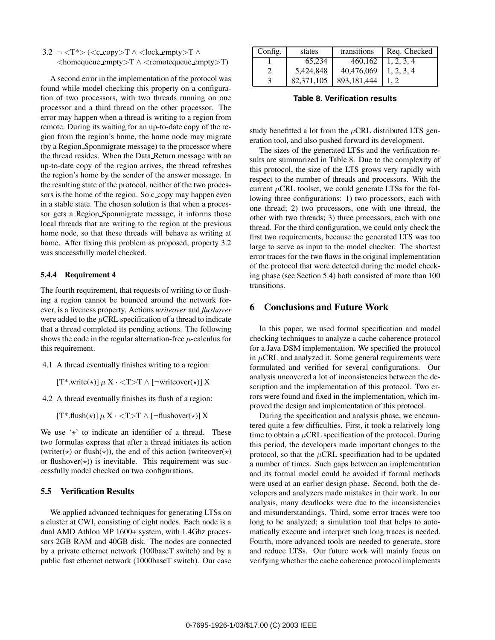3.2  $\neg$  <T\*> (<c\_copy>T  $\land$  <lock\_empty>T  $\land$ <sup>&</sup>lt;homequeue empty><sup>T</sup> <sup>∧</sup> <sup>&</sup>lt;remotequeue empty>T)

A second error in the implementation of the protocol was found while model checking this property on a configuration of two processors, with two threads running on one processor and a third thread on the other processor. The error may happen when a thread is writing to a region from remote. During its waiting for an up-to-date copy of the region from the region's home, the home node may migrate (by a Region Sponmigrate message) to the processor where the thread resides. When the Data Return message with an up-to-date copy of the region arrives, the thread refreshes the region's home by the sender of the answer message. In the resulting state of the protocol, neither of the two processors is the home of the region. So c copy may happen even in a stable state. The chosen solution is that when a processor gets a Region Sponmigrate message, it informs those local threads that are writing to the region at the previous home node, so that these threads will behave as writing at home. After fixing this problem as proposed, property 3.2 was successfully model checked.

#### **5.4.4 Requirement 4**

The fourth requirement, that requests of writing to or flushing a region cannot be bounced around the network forever, is a liveness property. Actions *writeover* and *flushover* were added to the  $\mu$ CRL specification of a thread to indicate that a thread completed its pending actions. The following shows the code in the regular alternation-free  $\mu$ -calculus for this requirement.

4.1 A thread eventually finishes writing to a region:

[T\*.write( $\star$ )]  $\mu$  X · <T>T  $\wedge$  [¬writeover( $\star$ )] X

4.2 A thread eventually finishes its flush of a region:

 $[T^*$ .flush( $\star$ )]  $\mu$  X · <T>T  $\wedge$  [¬flushover( $\star$ )] X

We use  $\star$  to indicate an identifier of a thread. These two formulas express that after a thread initiates its action (writer( $\star$ ) or flush( $\star$ )), the end of this action (writeover( $\star$ ) or flushover $(\star)$ ) is inevitable. This requirement was successfully model checked on two configurations.

#### **5.5 Verification Results**

We applied advanced techniques for generating LTSs on a cluster at CWI, consisting of eight nodes. Each node is a dual AMD Athlon MP 1600+ system, with 1.4Ghz processors 2GB RAM and 40GB disk. The nodes are connected by a private ethernet network (100baseT switch) and by a public fast ethernet network (1000baseT switch). Our case

| Config. | states     | transitions | Reg. Checked |
|---------|------------|-------------|--------------|
|         | 65.234     | 460,162     | 1, 2, 3, 4   |
| 2       | 5,424,848  | 40,476,069  | 1, 2, 3, 4   |
| ς       | 82,371,105 | 893,181,444 |              |

**Table 8. Verification results**

study benefitted a lot from the  $\mu$ CRL distributed LTS generation tool, and also pushed forward its development.

The sizes of the generated LTSs and the verification results are summarized in Table 8. Due to the complexity of this protocol, the size of the LTS grows very rapidly with respect to the number of threads and processors. With the current  $\mu$ CRL toolset, we could generate LTSs for the following three configurations: 1) two processors, each with one thread; 2) two processors, one with one thread, the other with two threads; 3) three processors, each with one thread. For the third configuration, we could only check the first two requirements, because the generated LTS was too large to serve as input to the model checker. The shortest error traces for the two flaws in the original implementation of the protocol that were detected during the model checking phase (see Section 5.4) both consisted of more than 100 transitions.

#### **6 Conclusions and Future Work**

In this paper, we used formal specification and model checking techniques to analyze a cache coherence protocol for a Java DSM implementation. We specified the protocol in  $\mu$ CRL and analyzed it. Some general requirements were formulated and verified for several configurations. Our analysis uncovered a lot of inconsistencies between the description and the implementation of this protocol. Two errors were found and fixed in the implementation, which improved the design and implementation of this protocol.

During the specification and analysis phase, we encountered quite a few difficulties. First, it took a relatively long time to obtain a  $\mu$ CRL specification of the protocol. During this period, the developers made important changes to the protocol, so that the  $\mu$ CRL specification had to be updated a number of times. Such gaps between an implementation and its formal model could be avoided if formal methods were used at an earlier design phase. Second, both the developers and analyzers made mistakes in their work. In our analysis, many deadlocks were due to the inconsistencies and misunderstandings. Third, some error traces were too long to be analyzed; a simulation tool that helps to automatically execute and interpret such long traces is needed. Fourth, more advanced tools are needed to generate, store and reduce LTSs. Our future work will mainly focus on verifying whether the cache coherence protocol implements